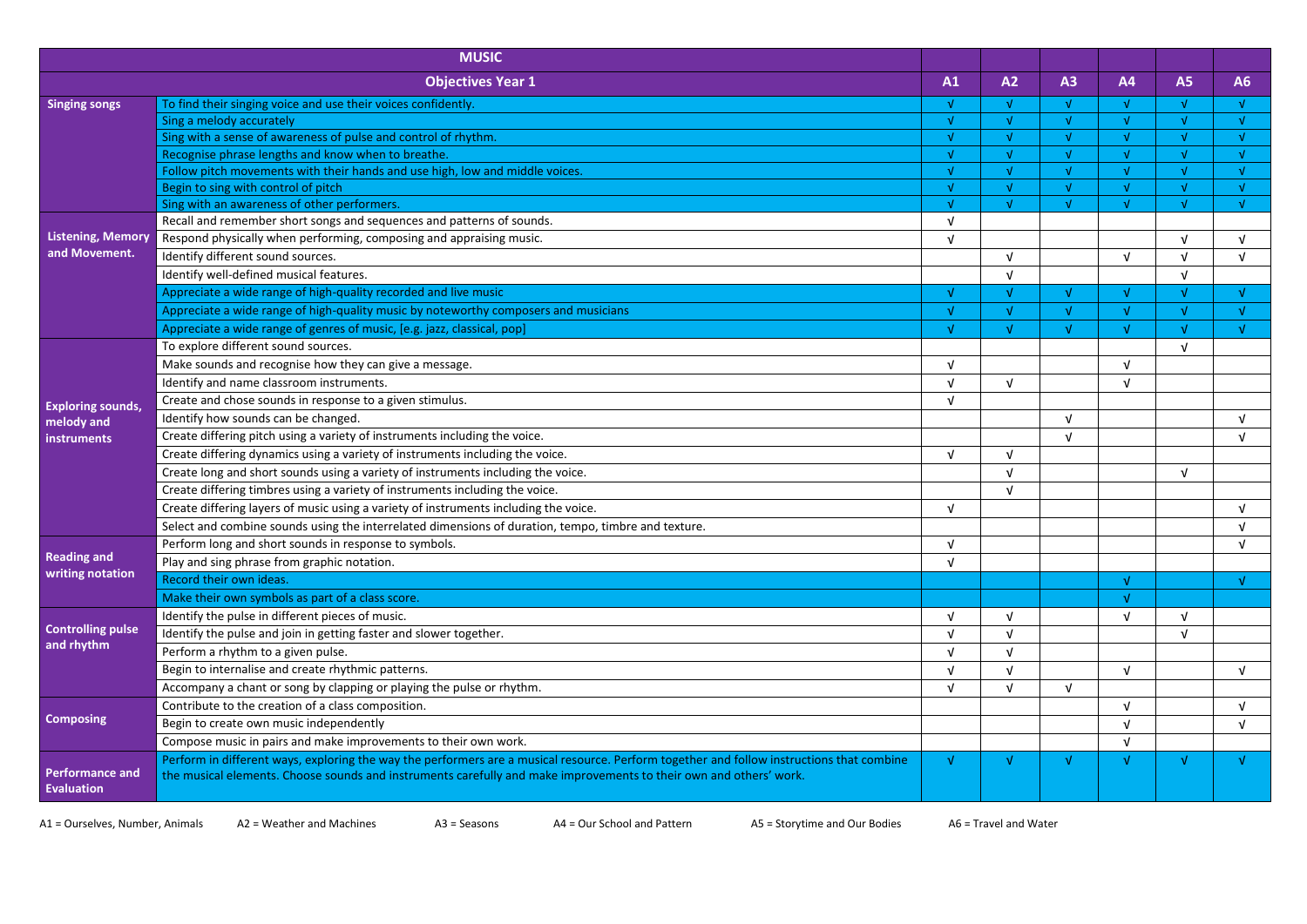|                                             | <b>MUSIC</b>                                                                                                                                                                                                                                                    |            |            |               |            |           |    |
|---------------------------------------------|-----------------------------------------------------------------------------------------------------------------------------------------------------------------------------------------------------------------------------------------------------------------|------------|------------|---------------|------------|-----------|----|
|                                             | <b>Objectives Year 1</b>                                                                                                                                                                                                                                        | A1         | A2         | A3            | <b>A4</b>  | <b>A5</b> | A6 |
| <b>Singing songs</b>                        | To find their singing voice and use their voices confidently.                                                                                                                                                                                                   | M          | AL.        | $\sqrt{ }$    | Ā          | N.        |    |
|                                             | Sing a melody accurately                                                                                                                                                                                                                                        |            |            | $\Delta$      | V          |           |    |
|                                             | Sing with a sense of awareness of pulse and control of rhythm.                                                                                                                                                                                                  |            |            | $\sqrt{ }$    | V          |           |    |
|                                             | Recognise phrase lengths and know when to breathe.                                                                                                                                                                                                              | M          | AL.        | <sub>M</sub>  | $\sqrt{ }$ |           |    |
|                                             | Follow pitch movements with their hands and use high, low and middle voices.                                                                                                                                                                                    |            |            | $\mathcal{N}$ |            |           |    |
|                                             | Begin to sing with control of pitch                                                                                                                                                                                                                             |            |            | $\mathcal{A}$ |            |           |    |
|                                             | Sing with an awareness of other performers.                                                                                                                                                                                                                     |            |            |               |            |           |    |
|                                             | Recall and remember short songs and sequences and patterns of sounds.                                                                                                                                                                                           | $\sqrt{ }$ |            |               |            |           |    |
| <b>Listening, Memory</b>                    | Respond physically when performing, composing and appraising music.                                                                                                                                                                                             | $\sqrt{ }$ |            |               |            |           |    |
| and Movement.                               | Identify different sound sources.                                                                                                                                                                                                                               |            |            |               | $\sqrt{ }$ |           |    |
|                                             | Identify well-defined musical features.                                                                                                                                                                                                                         |            |            |               |            |           |    |
|                                             | Appreciate a wide range of high-quality recorded and live music                                                                                                                                                                                                 |            |            | $\sqrt{ }$    | $\sqrt{ }$ |           |    |
|                                             | Appreciate a wide range of high-quality music by noteworthy composers and musicians                                                                                                                                                                             |            |            | $\mathcal{N}$ | A.         |           |    |
|                                             | Appreciate a wide range of genres of music, [e.g. jazz, classical, pop]                                                                                                                                                                                         |            |            | $\sqrt{ }$    |            |           |    |
|                                             | To explore different sound sources.                                                                                                                                                                                                                             |            |            |               |            |           |    |
|                                             | Make sounds and recognise how they can give a message.                                                                                                                                                                                                          | $\sqrt{ }$ |            |               | νI         |           |    |
|                                             | Identify and name classroom instruments.                                                                                                                                                                                                                        | $\sqrt{ }$ | ΔI         |               |            |           |    |
|                                             | Create and chose sounds in response to a given stimulus.                                                                                                                                                                                                        | $\sqrt{ }$ |            |               |            |           |    |
| <b>Exploring sounds,</b><br>melody and      | Identify how sounds can be changed.                                                                                                                                                                                                                             |            |            | $\sqrt{ }$    |            |           |    |
| <b>instruments</b>                          | Create differing pitch using a variety of instruments including the voice.                                                                                                                                                                                      |            |            |               |            |           |    |
|                                             | Create differing dynamics using a variety of instruments including the voice.                                                                                                                                                                                   | $\sqrt{ }$ |            |               |            |           |    |
|                                             | Create long and short sounds using a variety of instruments including the voice.                                                                                                                                                                                |            |            |               |            |           |    |
|                                             | Create differing timbres using a variety of instruments including the voice.                                                                                                                                                                                    |            | $\sqrt{ }$ |               |            |           |    |
|                                             | Create differing layers of music using a variety of instruments including the voice.                                                                                                                                                                            | $\sqrt{ }$ |            |               |            |           |    |
|                                             | Select and combine sounds using the interrelated dimensions of duration, tempo, timbre and texture.                                                                                                                                                             |            |            |               |            |           |    |
|                                             | Perform long and short sounds in response to symbols.                                                                                                                                                                                                           | $\sqrt{ }$ |            |               |            |           |    |
| <b>Reading and</b>                          | Play and sing phrase from graphic notation.                                                                                                                                                                                                                     | $\sqrt{ }$ |            |               |            |           |    |
| writing notation                            | Record their own ideas.                                                                                                                                                                                                                                         |            |            |               | V          |           | M. |
|                                             |                                                                                                                                                                                                                                                                 |            |            |               |            |           |    |
|                                             | Make their own symbols as part of a class score.                                                                                                                                                                                                                |            |            |               |            |           |    |
| <b>Controlling pulse</b>                    | Identify the pulse in different pieces of music.                                                                                                                                                                                                                | V          |            |               |            |           |    |
| and rhythm                                  | Identify the pulse and join in getting faster and slower together.                                                                                                                                                                                              | $\sqrt{ }$ | ΔI         |               |            |           |    |
|                                             | Perform a rhythm to a given pulse.                                                                                                                                                                                                                              | νI         |            |               |            |           |    |
|                                             | Begin to internalise and create rhythmic patterns.                                                                                                                                                                                                              | $\sqrt{ }$ |            |               | $\sqrt{ }$ |           |    |
|                                             | Accompany a chant or song by clapping or playing the pulse or rhythm.                                                                                                                                                                                           | $\sqrt{ }$ |            | $\sqrt{ }$    |            |           |    |
|                                             | Contribute to the creation of a class composition.                                                                                                                                                                                                              |            |            |               | $\sqrt{ }$ |           |    |
| <b>Composing</b>                            | Begin to create own music independently                                                                                                                                                                                                                         |            |            |               |            |           |    |
|                                             | Compose music in pairs and make improvements to their own work.                                                                                                                                                                                                 |            |            |               | $\sqrt{ }$ |           |    |
| <b>Performance and</b><br><b>Evaluation</b> | Perform in different ways, exploring the way the performers are a musical resource. Perform together and follow instructions that combine<br>the musical elements. Choose sounds and instruments carefully and make improvements to their own and others' work. |            |            |               | v          |           |    |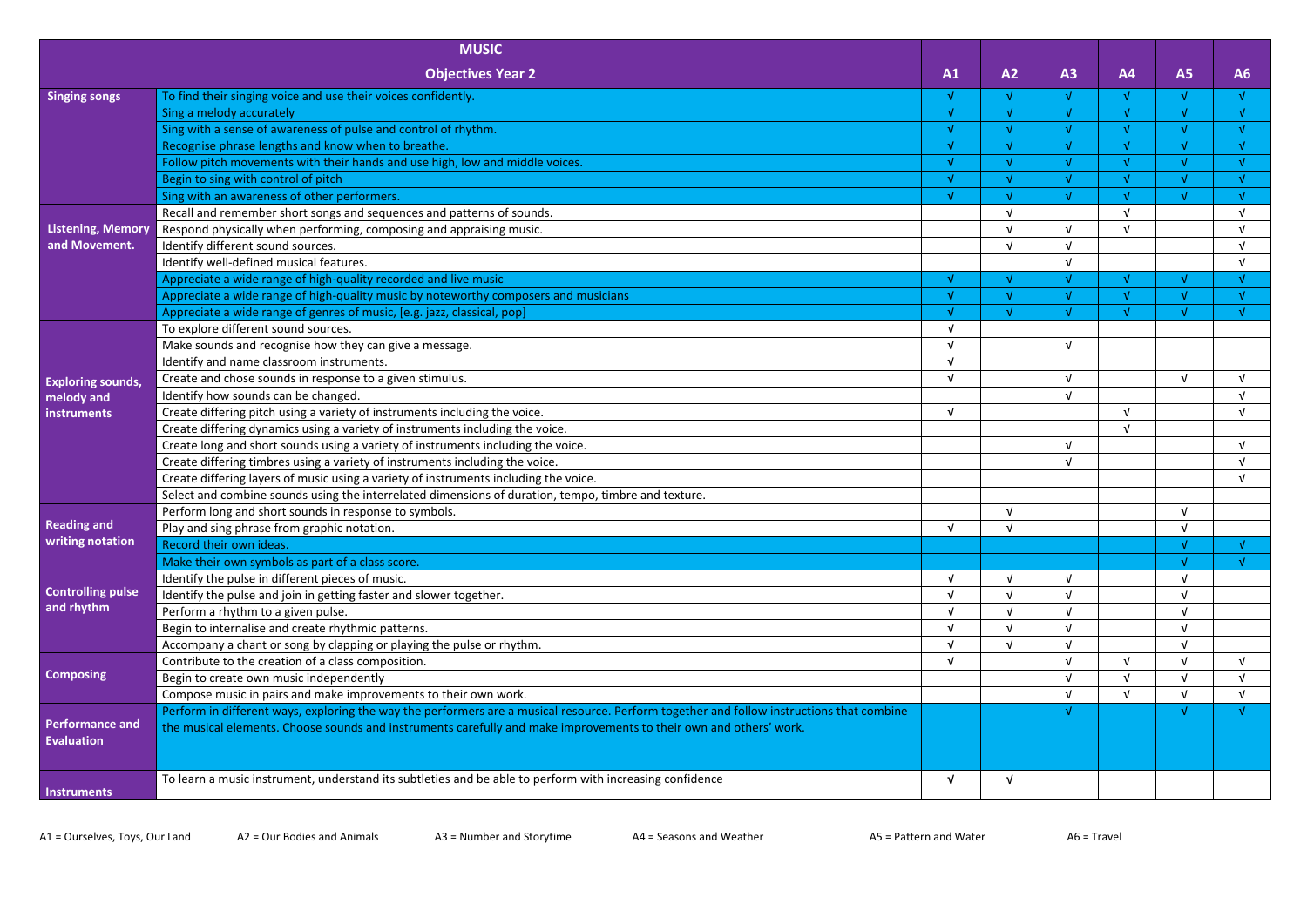|                                             | <b>MUSIC</b>                                                                                                                              |            |               |            |            |           |    |
|---------------------------------------------|-------------------------------------------------------------------------------------------------------------------------------------------|------------|---------------|------------|------------|-----------|----|
|                                             | <b>Objectives Year 2</b>                                                                                                                  | A1         | A2            | A3         | <b>A4</b>  | <b>A5</b> | A6 |
| <b>Singing songs</b>                        | To find their singing voice and use their voices confidently.                                                                             | v          | Ā             | $\sqrt{ }$ | V          | M         |    |
|                                             | Sing a melody accurately                                                                                                                  | Å          | $\mathcal{N}$ | $\sqrt{ }$ | Ā          |           |    |
|                                             | Sing with a sense of awareness of pulse and control of rhythm.                                                                            | Å          |               | $\sqrt{ }$ |            |           |    |
|                                             | Recognise phrase lengths and know when to breathe.                                                                                        | M          | $\sqrt{ }$    | $\sqrt{ }$ | Ā          |           |    |
|                                             | Follow pitch movements with their hands and use high, low and middle voices.                                                              | v          |               | $\sqrt{ }$ |            |           |    |
|                                             | Begin to sing with control of pitch                                                                                                       |            |               | $\sqrt{ }$ |            |           |    |
|                                             | Sing with an awareness of other performers.                                                                                               |            |               | A          |            |           |    |
|                                             | Recall and remember short songs and sequences and patterns of sounds.                                                                     |            | $\sqrt{ }$    |            | $\sqrt{ }$ |           |    |
| <b>Listening, Memory</b>                    | Respond physically when performing, composing and appraising music.                                                                       |            |               | $\sqrt{ }$ |            |           |    |
| and Movement.                               | Identify different sound sources.                                                                                                         |            |               | $\sqrt{ }$ |            |           |    |
|                                             | Identify well-defined musical features.                                                                                                   |            |               |            |            |           |    |
|                                             | Appreciate a wide range of high-quality recorded and live music                                                                           | Å          |               | $\sqrt{ }$ | M.         |           |    |
|                                             | Appreciate a wide range of high-quality music by noteworthy composers and musicians                                                       |            |               | M          |            |           |    |
|                                             | Appreciate a wide range of genres of music, [e.g. jazz, classical, pop]                                                                   |            |               | A          |            |           |    |
|                                             | To explore different sound sources.                                                                                                       | νI         |               |            |            |           |    |
|                                             | Make sounds and recognise how they can give a message.                                                                                    | $\sqrt{ }$ |               | $\sqrt{ }$ |            |           |    |
|                                             | Identify and name classroom instruments.                                                                                                  | $\sqrt{ }$ |               |            |            |           |    |
| <b>Exploring sounds,</b>                    | Create and chose sounds in response to a given stimulus.                                                                                  | $\sqrt{ }$ |               | $\sqrt{ }$ |            |           |    |
| melody and                                  | Identify how sounds can be changed.                                                                                                       |            |               | $\sqrt{ }$ |            |           |    |
| instruments                                 | Create differing pitch using a variety of instruments including the voice.                                                                | $\sqrt{ }$ |               |            | νI         |           |    |
|                                             | Create differing dynamics using a variety of instruments including the voice.                                                             |            |               |            |            |           |    |
|                                             | Create long and short sounds using a variety of instruments including the voice.                                                          |            |               | $\sqrt{ }$ |            |           |    |
|                                             | Create differing timbres using a variety of instruments including the voice.                                                              |            |               | $\sqrt{ }$ |            |           |    |
|                                             | Create differing layers of music using a variety of instruments including the voice.                                                      |            |               |            |            |           |    |
|                                             | Select and combine sounds using the interrelated dimensions of duration, tempo, timbre and texture.                                       |            |               |            |            |           |    |
|                                             | Perform long and short sounds in response to symbols.                                                                                     |            |               |            |            |           |    |
| <b>Reading and</b>                          | Play and sing phrase from graphic notation.                                                                                               | $\sqrt{ }$ | $\sqrt{ }$    |            |            |           |    |
| writing notation                            | Record their own ideas.                                                                                                                   |            |               |            |            |           |    |
|                                             | Make their own symbols as part of a class score.                                                                                          |            |               |            |            |           |    |
|                                             | Identify the pulse in different pieces of music.                                                                                          | V          |               |            |            |           |    |
| <b>Controlling pulse</b>                    | Identify the pulse and join in getting faster and slower together.                                                                        |            |               |            |            |           |    |
| and rhythm                                  | Perform a rhythm to a given pulse.                                                                                                        |            |               |            |            |           |    |
|                                             | Begin to internalise and create rhythmic patterns.                                                                                        | νI         |               |            |            |           |    |
|                                             | Accompany a chant or song by clapping or playing the pulse or rhythm.                                                                     |            |               |            |            |           |    |
|                                             | Contribute to the creation of a class composition.                                                                                        | $\sqrt{ }$ |               |            | $\sqrt{ }$ |           |    |
| <b>Composing</b>                            | Begin to create own music independently                                                                                                   |            |               | $\sqrt{ }$ |            |           |    |
|                                             | Compose music in pairs and make improvements to their own work.                                                                           |            |               | $\sqrt{ }$ | $\sqrt{ }$ |           |    |
|                                             | Perform in different ways, exploring the way the performers are a musical resource. Perform together and follow instructions that combine |            |               |            |            |           |    |
| <b>Performance and</b><br><b>Evaluation</b> | the musical elements. Choose sounds and instruments carefully and make improvements to their own and others' work.                        |            |               |            |            |           |    |
| <b>Instruments</b>                          | To learn a music instrument, understand its subtleties and be able to perform with increasing confidence                                  | V          |               |            |            |           |    |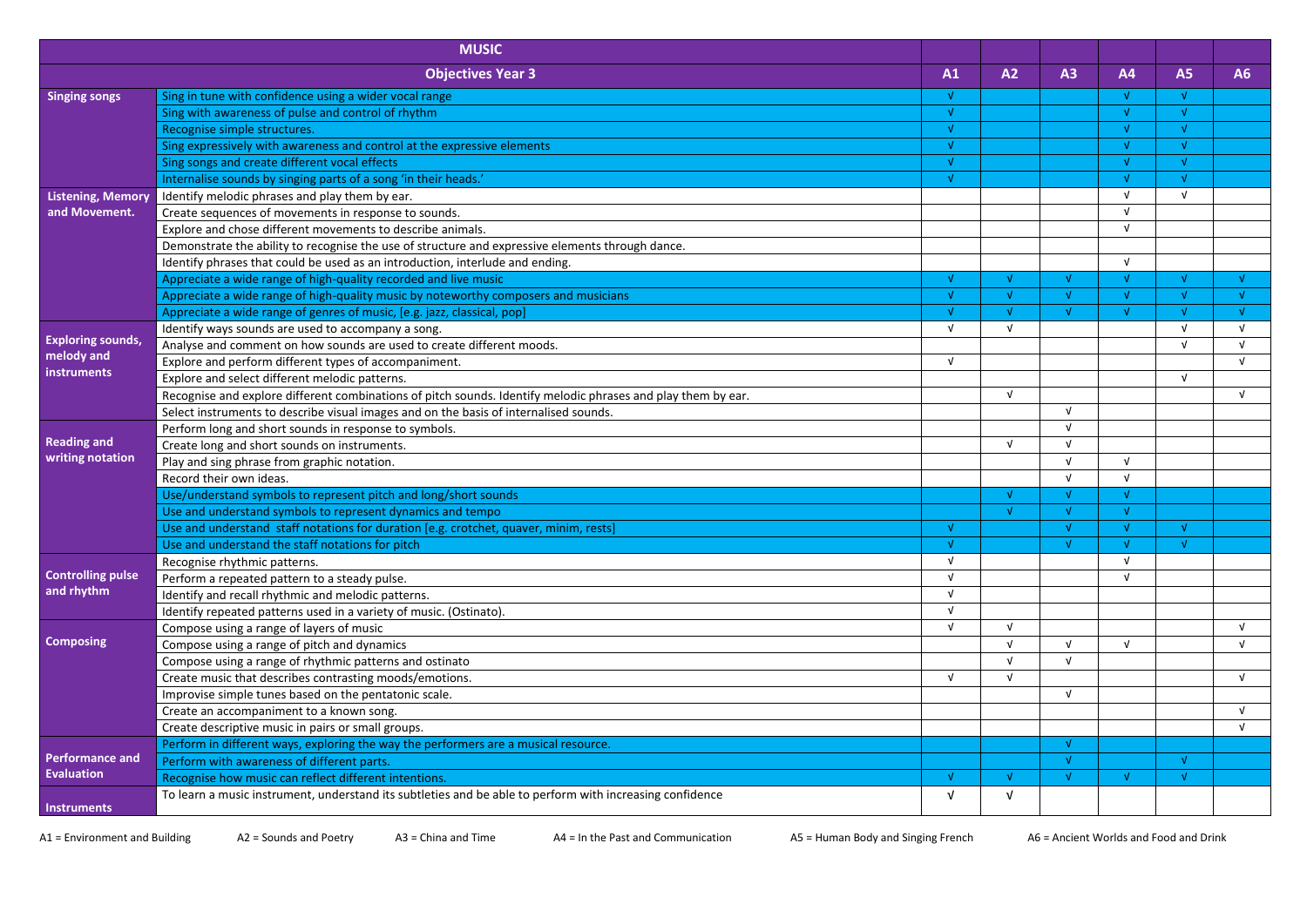|                          | <b>MUSIC</b>                                                                                                 |              |            |            |            |            |    |
|--------------------------|--------------------------------------------------------------------------------------------------------------|--------------|------------|------------|------------|------------|----|
|                          | <b>Objectives Year 3</b>                                                                                     | A1           | A2         | A3         | <b>A4</b>  | <b>A5</b>  | A6 |
| <b>Singing songs</b>     | Sing in tune with confidence using a wider vocal range                                                       | $\sqrt{ }$   |            |            |            | N          |    |
|                          | Sing with awareness of pulse and control of rhythm                                                           | $\mathbf{V}$ |            |            | M          |            |    |
|                          | Recognise simple structures.                                                                                 | $\sqrt{ }$   |            |            |            |            |    |
|                          | Sing expressively with awareness and control at the expressive elements                                      | $\sqrt{ }$   |            |            | Ā          |            |    |
|                          | Sing songs and create different vocal effects                                                                | $\sqrt{ }$   |            |            |            |            |    |
|                          | Internalise sounds by singing parts of a song 'in their heads.'                                              | $\sqrt{ }$   |            |            | M          |            |    |
| <b>Listening, Memory</b> | Identify melodic phrases and play them by ear.                                                               |              |            |            | v          | v          |    |
| and Movement.            | Create sequences of movements in response to sounds.                                                         |              |            |            | v.         |            |    |
|                          | Explore and chose different movements to describe animals.                                                   |              |            |            | v.         |            |    |
|                          | Demonstrate the ability to recognise the use of structure and expressive elements through dance.             |              |            |            |            |            |    |
|                          | Identify phrases that could be used as an introduction, interlude and ending.                                |              |            |            | V          |            |    |
|                          | Appreciate a wide range of high-quality recorded and live music                                              | M            |            |            |            |            |    |
|                          | Appreciate a wide range of high-quality music by noteworthy composers and musicians                          | $\sqrt{ }$   |            |            |            |            |    |
|                          | Appreciate a wide range of genres of music, [e.g. jazz, classical, pop]                                      | $\sqrt{ }$   |            |            |            |            |    |
|                          | Identify ways sounds are used to accompany a song.                                                           | $\sqrt{ }$   | V          |            |            |            |    |
| <b>Exploring sounds,</b> | Analyse and comment on how sounds are used to create different moods.                                        |              |            |            |            | ν          | νL |
| melody and               | Explore and perform different types of accompaniment.                                                        | $\sqrt{ }$   |            |            |            |            | νI |
| instruments              | Explore and select different melodic patterns.                                                               |              |            |            |            | $\sqrt{ }$ |    |
|                          | Recognise and explore different combinations of pitch sounds. Identify melodic phrases and play them by ear. |              | $\sqrt{ }$ |            |            |            | V  |
|                          | Select instruments to describe visual images and on the basis of internalised sounds.                        |              |            | <b>V</b>   |            |            |    |
|                          | Perform long and short sounds in response to symbols.                                                        |              |            |            |            |            |    |
| <b>Reading and</b>       | Create long and short sounds on instruments.                                                                 |              |            | <b>V</b>   |            |            |    |
| writing notation         | Play and sing phrase from graphic notation.                                                                  |              |            |            | V          |            |    |
|                          | Record their own ideas.                                                                                      |              |            | $\sqrt{ }$ | $\sqrt{ }$ |            |    |
|                          | Use/understand symbols to represent pitch and long/short sounds                                              |              |            |            |            |            |    |
|                          | Use and understand symbols to represent dynamics and tempo                                                   |              | $\sqrt{ }$ |            |            |            |    |
|                          | Use and understand staff notations for duration [e.g. crotchet, quaver, minim, rests]                        | $\mathbf{V}$ |            |            |            |            |    |
|                          | Use and understand the staff notations for pitch                                                             | AL.          |            |            |            |            |    |
|                          | Recognise rhythmic patterns.                                                                                 | $\sqrt{ }$   |            |            | $\sqrt{ }$ |            |    |
| <b>Controlling pulse</b> | Perform a repeated pattern to a steady pulse.                                                                | $\sqrt{ }$   |            |            | $\sqrt{ }$ |            |    |
| and rhythm               | Identify and recall rhythmic and melodic patterns.                                                           | $\sqrt{ }$   |            |            |            |            |    |
|                          | Identify repeated patterns used in a variety of music. (Ostinato).                                           | $\sqrt{ }$   |            |            |            |            |    |
|                          | Compose using a range of layers of music                                                                     | $\sqrt{ }$   | V          |            |            |            | v. |
| <b>Composing</b>         | Compose using a range of pitch and dynamics                                                                  |              |            | $\sqrt{ }$ | V.         |            | v. |
|                          | Compose using a range of rhythmic patterns and ostinato                                                      |              |            | $\sqrt{ }$ |            |            |    |
|                          | Create music that describes contrasting moods/emotions.                                                      | $\sqrt{ }$   |            |            |            |            | V  |
|                          | Improvise simple tunes based on the pentatonic scale.                                                        |              |            | $\sqrt{ }$ |            |            |    |
|                          | Create an accompaniment to a known song.                                                                     |              |            |            |            |            | V  |
|                          | Create descriptive music in pairs or small groups.                                                           |              |            |            |            |            | V  |
|                          | Perform in different ways, exploring the way the performers are a musical resource.                          |              |            | ่√         |            |            |    |
| <b>Performance and</b>   | Perform with awareness of different parts.                                                                   |              |            | $\sqrt{ }$ |            | N          |    |
| Evaluation               | Recognise how music can reflect different intentions.                                                        | $\sqrt{ }$   |            |            |            |            |    |
|                          | To learn a music instrument, understand its subtleties and be able to perform with increasing confidence     | V            |            |            |            |            |    |
| <b>Instruments</b>       |                                                                                                              |              |            |            |            |            |    |

A1 = Environment and Building A2 = Sounds and Poetry A3 = China and Time A4 = In the Past and Communication A5 = Human Body and Singing French A6 = Ancient Worlds and Food and Drink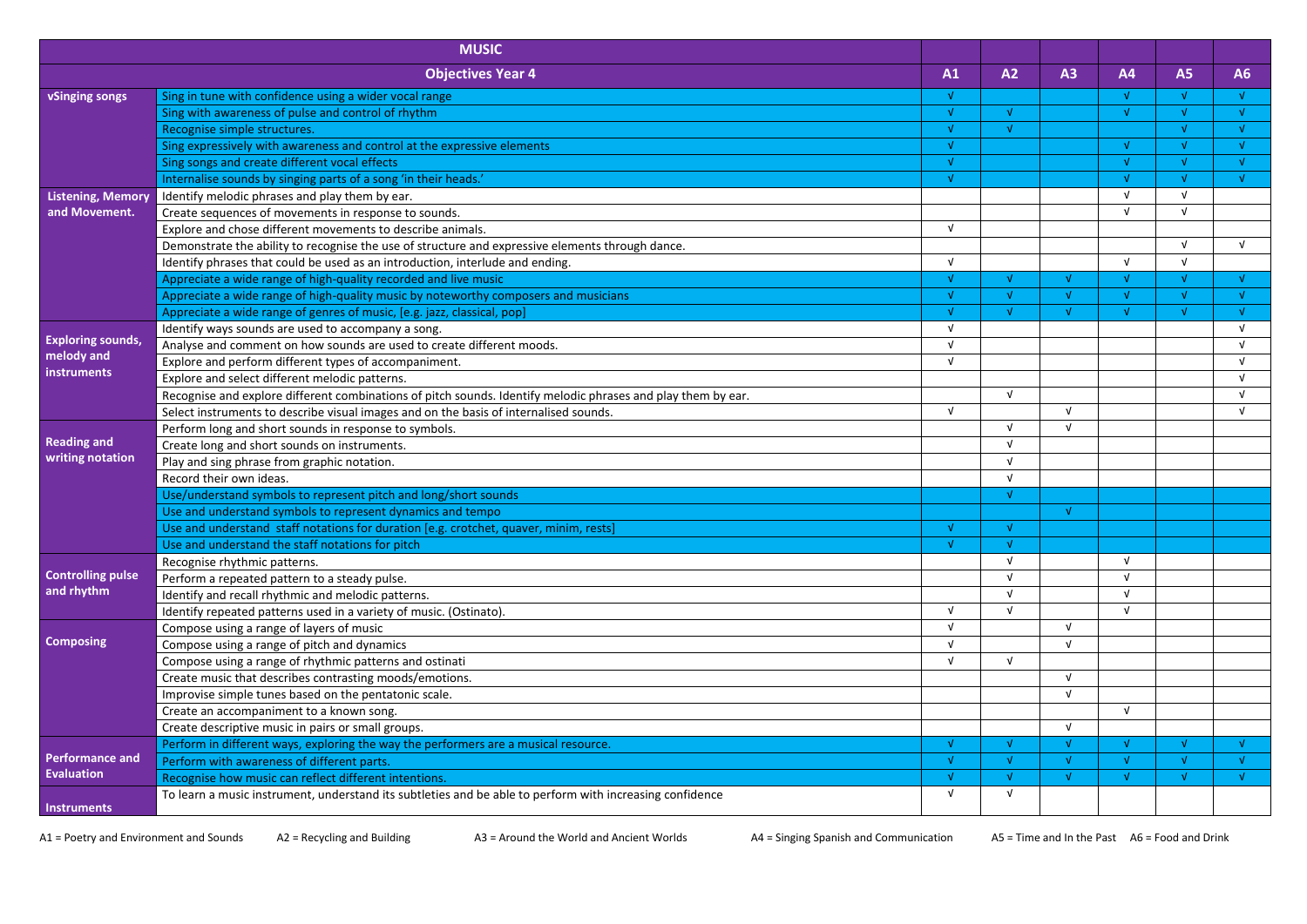|                           | <b>MUSIC</b>                                                                                                 |            |            |               |            |           |    |
|---------------------------|--------------------------------------------------------------------------------------------------------------|------------|------------|---------------|------------|-----------|----|
|                           | <b>Objectives Year 4</b>                                                                                     | A1         | A2         | A3            | <b>A4</b>  | <b>A5</b> | A6 |
| vSinging songs            | Sing in tune with confidence using a wider vocal range                                                       | $\sqrt{ }$ |            |               | νL         | M         |    |
|                           | Sing with awareness of pulse and control of rhythm                                                           | $\sqrt{ }$ |            |               | v.         |           |    |
|                           | Recognise simple structures.                                                                                 | $\sqrt{ }$ |            |               |            |           |    |
|                           | Sing expressively with awareness and control at the expressive elements                                      | M          |            |               | M          |           |    |
|                           | Sing songs and create different vocal effects                                                                | M          |            |               |            |           |    |
|                           | Internalise sounds by singing parts of a song 'in their heads.'                                              | A.         |            |               | M          |           |    |
| <b>Listening, Memory</b>  | Identify melodic phrases and play them by ear.                                                               |            |            |               | $\sqrt{ }$ | νI        |    |
| and Movement.             | Create sequences of movements in response to sounds.                                                         |            |            |               | $\sqrt{ }$ | <b>V</b>  |    |
|                           | Explore and chose different movements to describe animals.                                                   | $\sqrt{ }$ |            |               |            |           |    |
|                           | Demonstrate the ability to recognise the use of structure and expressive elements through dance.             |            |            |               |            |           |    |
|                           | Identify phrases that could be used as an introduction, interlude and ending.                                | $\sqrt{ }$ |            |               | νI         |           |    |
|                           | Appreciate a wide range of high-quality recorded and live music                                              | M          |            |               |            |           |    |
|                           | Appreciate a wide range of high-quality music by noteworthy composers and musicians                          | M          |            |               |            |           |    |
|                           | Appreciate a wide range of genres of music, [e.g. jazz, classical, pop]                                      | $\sqrt{ }$ |            |               |            |           |    |
|                           | Identify ways sounds are used to accompany a song.                                                           | $\sqrt{ }$ |            |               |            |           |    |
| <b>Exploring sounds,</b>  | Analyse and comment on how sounds are used to create different moods.                                        | $\sqrt{ }$ |            |               |            |           |    |
| melody and<br>instruments | Explore and perform different types of accompaniment.                                                        | $\sqrt{ }$ |            |               |            |           |    |
|                           | Explore and select different melodic patterns.                                                               |            |            |               |            |           |    |
|                           | Recognise and explore different combinations of pitch sounds. Identify melodic phrases and play them by ear. |            | $\sqrt{ }$ |               |            |           |    |
|                           | Select instruments to describe visual images and on the basis of internalised sounds.                        | $\sqrt{ }$ |            | ΔI            |            |           |    |
|                           | Perform long and short sounds in response to symbols.                                                        |            |            |               |            |           |    |
| <b>Reading and</b>        | Create long and short sounds on instruments.                                                                 |            |            |               |            |           |    |
| writing notation          | Play and sing phrase from graphic notation.                                                                  |            |            |               |            |           |    |
|                           | Record their own ideas.                                                                                      |            |            |               |            |           |    |
|                           | Use/understand symbols to represent pitch and long/short sounds                                              |            |            |               |            |           |    |
|                           | Use and understand symbols to represent dynamics and tempo                                                   |            |            | $\sqrt{ }$    |            |           |    |
|                           | Use and understand staff notations for duration [e.g. crotchet, quaver, minim, rests]                        | $\sqrt{ }$ | $\sqrt{ }$ |               |            |           |    |
|                           | Use and understand the staff notations for pitch                                                             |            |            |               |            |           |    |
|                           | Recognise rhythmic patterns.                                                                                 |            |            |               | ν          |           |    |
| <b>Controlling pulse</b>  | Perform a repeated pattern to a steady pulse.                                                                |            |            |               |            |           |    |
| and rhythm                | Identify and recall rhythmic and melodic patterns.                                                           |            | νL         |               | νI         |           |    |
|                           | Identify repeated patterns used in a variety of music. (Ostinato).                                           |            |            |               | v          |           |    |
|                           | Compose using a range of layers of music                                                                     | $\sqrt{ }$ |            | $\sqrt{ }$    |            |           |    |
| <b>Composing</b>          | Compose using a range of pitch and dynamics                                                                  |            |            |               |            |           |    |
|                           | Compose using a range of rhythmic patterns and ostinati                                                      | V          |            |               |            |           |    |
|                           | Create music that describes contrasting moods/emotions.                                                      |            |            |               |            |           |    |
|                           | Improvise simple tunes based on the pentatonic scale.                                                        |            |            | $\sqrt{ }$    |            |           |    |
|                           | Create an accompaniment to a known song.                                                                     |            |            |               | $\sqrt{ }$ |           |    |
|                           | Create descriptive music in pairs or small groups.                                                           |            |            | $\sqrt{ }$    |            |           |    |
|                           | Perform in different ways, exploring the way the performers are a musical resource.                          |            |            |               |            |           |    |
| <b>Performance and</b>    | Perform with awareness of different parts.                                                                   |            |            | √             |            |           |    |
| Evaluation                | Recognise how music can reflect different intentions.                                                        | M          |            | $\mathcal{N}$ | M          |           |    |
| Instruments               | To learn a music instrument, understand its subtleties and be able to perform with increasing confidence     | V          |            |               |            |           |    |

A1 = Poetry and Environment and Sounds A2 = Recycling and Building A3 = Around the World and Ancient Worlds A4 = Singing Spanish and Communication A5 = Time and In the Past A6 = Food and Drink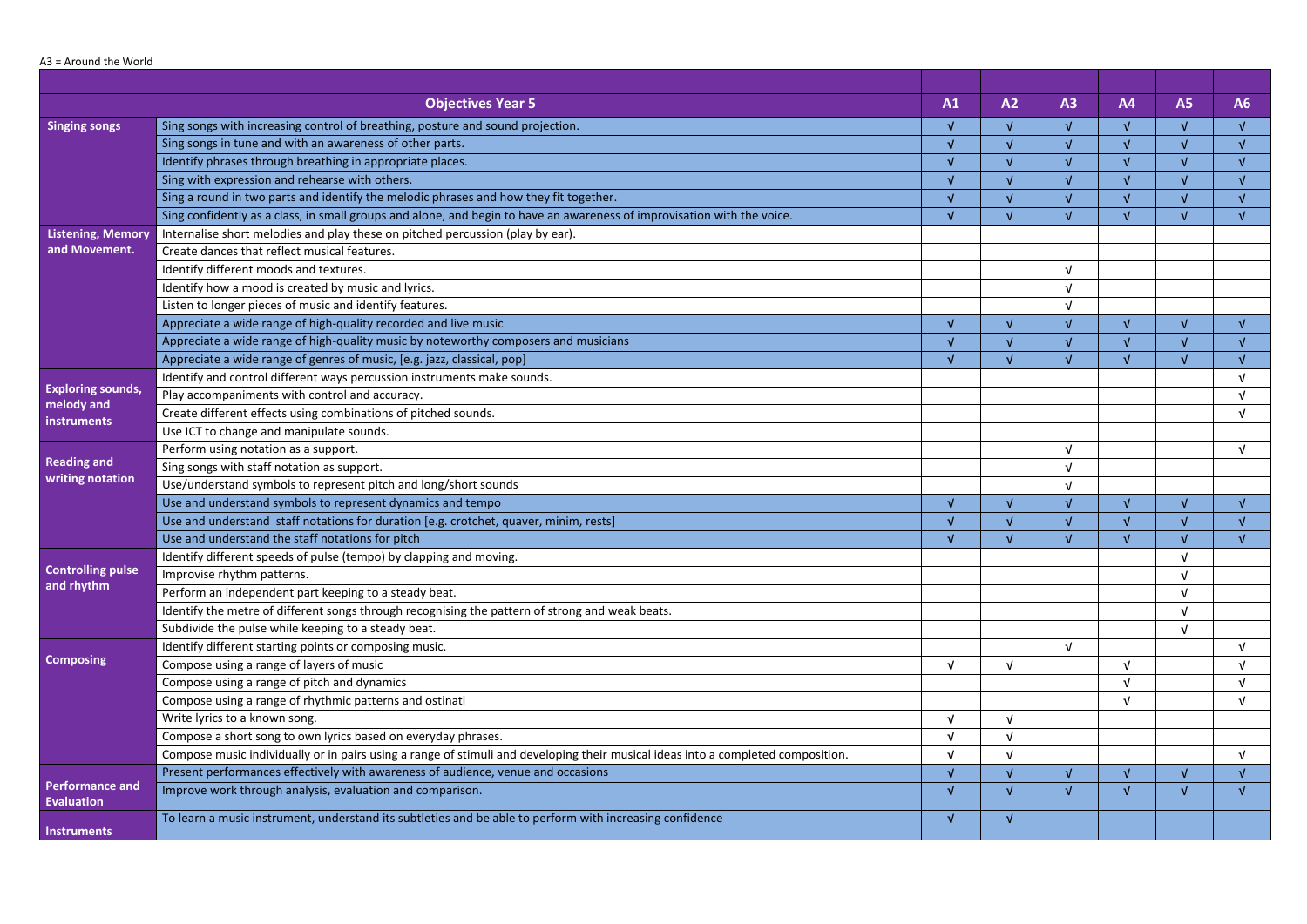## A3 = Around the World

|                                             | <b>Objectives Year 5</b>                                                                                                         | A1                     | A2         | A3            | <b>A4</b>  | <b>A5</b>     | A6 |
|---------------------------------------------|----------------------------------------------------------------------------------------------------------------------------------|------------------------|------------|---------------|------------|---------------|----|
| <b>Singing songs</b>                        | Sing songs with increasing control of breathing, posture and sound projection.                                                   | $\sqrt{ }$             |            | $\sqrt{ }$    |            |               |    |
|                                             | Sing songs in tune and with an awareness of other parts.                                                                         | $\sqrt{ }$             |            | $\sqrt{ }$    |            |               |    |
|                                             | Identify phrases through breathing in appropriate places.                                                                        | $\boldsymbol{\Lambda}$ |            | $\sqrt{ }$    |            |               |    |
|                                             | Sing with expression and rehearse with others.                                                                                   |                        |            | $\sqrt{ }$    |            |               |    |
|                                             | Sing a round in two parts and identify the melodic phrases and how they fit together.                                            | $\sqrt{ }$             |            | $\sqrt{ }$    |            |               |    |
|                                             | Sing confidently as a class, in small groups and alone, and begin to have an awareness of improvisation with the voice.          | $\sqrt{ }$             |            | $\mathcal{L}$ |            |               |    |
| <b>Listening, Memory</b>                    | Internalise short melodies and play these on pitched percussion (play by ear).                                                   |                        |            |               |            |               |    |
| and Movement.                               | Create dances that reflect musical features.                                                                                     |                        |            |               |            |               |    |
|                                             | Identify different moods and textures.                                                                                           |                        |            | $\sqrt{ }$    |            |               |    |
|                                             | Identify how a mood is created by music and lyrics.                                                                              |                        |            | <b>V</b>      |            |               |    |
|                                             | Listen to longer pieces of music and identify features.                                                                          |                        |            |               |            |               |    |
|                                             | Appreciate a wide range of high-quality recorded and live music                                                                  | $\sqrt{ }$             |            | $\sqrt{ }$    |            |               |    |
|                                             | Appreciate a wide range of high-quality music by noteworthy composers and musicians                                              |                        |            |               |            |               |    |
|                                             | Appreciate a wide range of genres of music, [e.g. jazz, classical, pop]                                                          | V                      |            | $\mathcal{L}$ |            |               |    |
|                                             | Identify and control different ways percussion instruments make sounds.                                                          |                        |            |               |            |               |    |
| <b>Exploring sounds,</b>                    | Play accompaniments with control and accuracy.                                                                                   |                        |            |               |            |               |    |
| melody and<br>instruments                   | Create different effects using combinations of pitched sounds.                                                                   |                        |            |               |            |               |    |
|                                             | Use ICT to change and manipulate sounds.                                                                                         |                        |            |               |            |               |    |
|                                             | Perform using notation as a support.                                                                                             |                        |            | $\sqrt{ }$    |            |               |    |
| <b>Reading and</b>                          | Sing songs with staff notation as support.                                                                                       |                        |            | $\sqrt{ }$    |            |               |    |
| writing notation                            | Use/understand symbols to represent pitch and long/short sounds                                                                  |                        |            | $\sqrt{ }$    |            |               |    |
|                                             | Use and understand symbols to represent dynamics and tempo                                                                       | V                      |            | $\sqrt{ }$    |            |               |    |
|                                             | Use and understand staff notations for duration [e.g. crotchet, quaver, minim, rests]                                            |                        |            |               |            |               |    |
|                                             | Use and understand the staff notations for pitch                                                                                 | M                      |            | A.            |            |               |    |
|                                             | Identify different speeds of pulse (tempo) by clapping and moving.                                                               |                        |            |               |            | $\mathcal{L}$ |    |
| <b>Controlling pulse</b>                    | Improvise rhythm patterns.                                                                                                       |                        |            |               |            |               |    |
| and rhythm                                  | Perform an independent part keeping to a steady beat.                                                                            |                        |            |               |            |               |    |
|                                             | Identify the metre of different songs through recognising the pattern of strong and weak beats.                                  |                        |            |               |            |               |    |
|                                             | Subdivide the pulse while keeping to a steady beat.                                                                              |                        |            |               |            |               |    |
|                                             | Identify different starting points or composing music.                                                                           |                        |            | $\sqrt{ }$    |            |               |    |
| <b>Composing</b>                            | Compose using a range of layers of music                                                                                         | $\sqrt{ }$             | $\sqrt{ }$ |               | $\sqrt{ }$ |               |    |
|                                             | Compose using a range of pitch and dynamics                                                                                      |                        |            |               |            |               |    |
|                                             | Compose using a range of rhythmic patterns and ostinati                                                                          |                        |            |               |            |               |    |
|                                             | Write lyrics to a known song.                                                                                                    | $\sqrt{ }$             |            |               |            |               |    |
|                                             | Compose a short song to own lyrics based on everyday phrases.                                                                    | $\sqrt{ }$             |            |               |            |               |    |
|                                             | Compose music individually or in pairs using a range of stimuli and developing their musical ideas into a completed composition. | νI                     |            |               |            |               |    |
|                                             | Present performances effectively with awareness of audience, venue and occasions                                                 |                        |            |               |            |               |    |
| <b>Performance and</b><br><b>Evaluation</b> | Improve work through analysis, evaluation and comparison.                                                                        | V                      |            | $\sqrt{ }$    |            |               |    |
| <b>Instruments</b>                          | To learn a music instrument, understand its subtleties and be able to perform with increasing confidence                         | N                      |            |               |            |               |    |